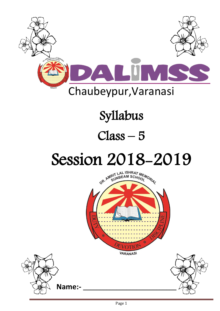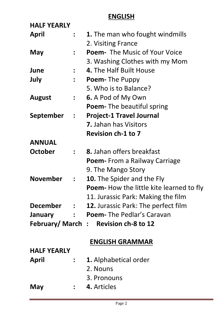## **ENGLISH**

| <b>HALF YEARLY</b> |                      |                                                 |
|--------------------|----------------------|-------------------------------------------------|
| April              |                      | <b>1.</b> The man who fought windmills          |
|                    |                      | 2. Visiting France                              |
| May                |                      | <b>Poem-</b> The Music of Your Voice            |
|                    |                      | 3. Washing Clothes with my Mom                  |
| June               |                      | 4. The Half Built House                         |
| July               |                      | Poem-The Puppy                                  |
|                    |                      | 5. Who is to Balance?                           |
| <b>August</b>      | $\ddot{\phantom{a}}$ | 6. A Pod of My Own                              |
|                    |                      | <b>Poem-</b> The beautiful spring               |
| September          | $\ddot{\cdot}$       | <b>Project-1 Travel Journal</b>                 |
|                    |                      | <b>7.</b> Jahan has Visitors                    |
|                    |                      | <b>Revision ch-1 to 7</b>                       |
| <b>ANNUAL</b>      |                      |                                                 |
| <b>October</b>     | $\ddot{\cdot}$       | <b>8.</b> Jahan offers breakfast                |
|                    |                      | Poem- From a Railway Carriage                   |
|                    |                      | 9. The Mango Story                              |
| <b>November</b>    |                      | <b>10.</b> The Spider and the Fly               |
|                    |                      | <b>Poem-</b> How the little kite learned to fly |
|                    |                      | 11. Jurassic Park: Making the film              |
| December :         |                      | 12. Jurassic Park: The perfect film             |
| January            | $\mathbf{r}$         | <b>Poem-</b> The Pedlar's Caravan               |
|                    |                      | February/March: Revision ch-8 to 12             |
|                    |                      |                                                 |
|                    |                      | <b>ENGLISH GRAMMAR</b>                          |
| <b>HALF YEARLY</b> |                      |                                                 |
| April              |                      | <b>1.</b> Alphabetical order                    |
|                    |                      | 2. Nouns                                        |
|                    |                      | 3. Pronouns                                     |
| May                | $\mathbf{R}$         | 4. Articles                                     |
|                    |                      |                                                 |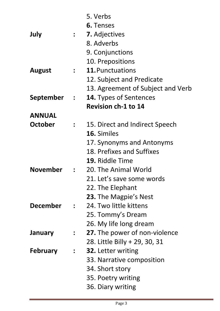| July            |                  | 5. Verbs<br><b>6.</b> Tenses<br>: <b>7.</b> Adjectives<br>8. Adverbs |
|-----------------|------------------|----------------------------------------------------------------------|
|                 |                  | 9. Conjunctions<br>10. Prepositions                                  |
| <b>August</b>   | $\frac{1}{2}$    | <b>11. Punctuations</b>                                              |
|                 |                  | 12. Subject and Predicate                                            |
| September :     |                  | 13. Agreement of Subject and Verb<br><b>14.</b> Types of Sentences   |
|                 |                  | <b>Revision ch-1 to 14</b>                                           |
| <b>ANNUAL</b>   |                  |                                                                      |
| October         | $\mathbf{L}$     | 15. Direct and Indirect Speech                                       |
|                 |                  | <b>16.</b> Similes                                                   |
|                 |                  | 17. Synonyms and Antonyms                                            |
|                 |                  | 18. Prefixes and Suffixes                                            |
|                 |                  | 19. Riddle Time                                                      |
| <b>November</b> | $\mathbf{L}$     | 20. The Animal World                                                 |
|                 |                  | 21. Let's save some words                                            |
|                 |                  | 22. The Elephant                                                     |
|                 |                  | <b>23.</b> The Magpie's Nest                                         |
| <b>December</b> | $\mathbf{r}$     | 24. Two little kittens                                               |
|                 |                  | 25. Tommy's Dream                                                    |
|                 |                  | 26. My life long dream                                               |
| <b>January</b>  | $\ddot{\bullet}$ | <b>27.</b> The power of non-violence                                 |
|                 |                  | 28. Little Billy + 29, 30, 31                                        |
| <b>February</b> | $\ddot{\bullet}$ | <b>32.</b> Letter writing                                            |
|                 |                  | 33. Narrative composition                                            |
|                 |                  | 34. Short story                                                      |
|                 |                  | 35. Poetry writing                                                   |
|                 |                  | 36. Diary writing                                                    |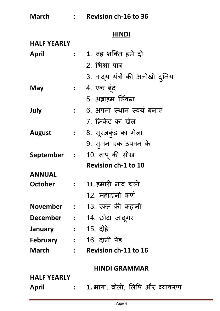| <b>March</b> | <b>Revision ch-16 to 36</b> |
|--------------|-----------------------------|
|--------------|-----------------------------|

## **HINDI**

| <b>HALF YEARLY</b> |                                                                         |                                    |
|--------------------|-------------------------------------------------------------------------|------------------------------------|
| April              |                                                                         | : 1. वह शक्ति हमें दो              |
|                    |                                                                         | 2. भिक्षा पात्र                    |
|                    |                                                                         | 3. वाद्य यंत्रों की अनोखी दुनिया   |
| May                |                                                                         | <b>:</b> 4. एक बूंद                |
|                    |                                                                         | 5. अब्राहम लिंकन                   |
| July               |                                                                         | <b>:</b> 6. अपना स्थान स्वयं बनाएं |
|                    |                                                                         | 7. क्रिकेट का खेल                  |
| <b>August</b>      |                                                                         | :    8. सूरजकुंड का मेला           |
|                    |                                                                         | 9. सुमन एक उपवन के                 |
|                    |                                                                         | September : 10. बापू की सीख        |
|                    |                                                                         | <b>Revision ch-1 to 10</b>         |
| <b>ANNUAL</b>      |                                                                         |                                    |
| <b>October</b>     | $\mathcal{L}=\mathcal{L}^{\text{max}}$ . The $\mathcal{L}^{\text{max}}$ | 11. हमारी नाव चली                  |
|                    |                                                                         | 12. महादानी कर्ण                   |
| <b>November</b>    | $\ddot{\bullet}$                                                        | 13. रक्त की कहानी                  |
| <b>December :</b>  |                                                                         | 14. छोटा जादूगर                    |
| January            |                                                                         | <b>: 15. दोहे</b>                  |
|                    |                                                                         | February : 16. दानी पेड़           |
| <b>March</b>       |                                                                         | <b>Revision ch-11 to 16</b>        |
|                    |                                                                         | <b>HINDI GRAMMAR</b>               |
| <b>HALF YEARLY</b> |                                                                         |                                    |
| April              | $\mathbf{r}$                                                            | 1. भाषा, बोली, लिपि और व्याकरण     |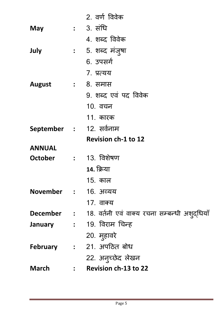|                         |                | 2. वर्ण विवेक                                            |
|-------------------------|----------------|----------------------------------------------------------|
| May                     |                | <b>: 3. संधि</b>                                         |
|                         |                | 4. शब्द विवेक                                            |
| July                    |                | : 5. शब्द मंजूषा                                         |
|                         |                | 6. उपसर्ग                                                |
|                         |                | ७. प्रत्यय                                               |
| <b>August</b>           |                | : 8. समास                                                |
|                         |                | 9. शब्द एवं पद विवेक                                     |
|                         |                | 10. वचन                                                  |
|                         |                | 11. कारक                                                 |
| September : 12. सर्वनाम |                |                                                          |
|                         |                | <b>Revision ch-1 to 12</b>                               |
| <b>ANNUAL</b>           |                |                                                          |
| <b>October</b>          |                | : 13. विशेषण                                             |
|                         |                | 14. क्रिया                                               |
|                         |                | 15. काल                                                  |
| November : 16. अव्यय    |                |                                                          |
|                         |                | 17. वाक्य                                                |
|                         |                | December : 18. वर्तनी एवं वाक्य रचना सम्बन्धी अशुद्धियाँ |
| <b>January</b>          |                | :       19.  विराम  चिन्ह                                |
|                         |                | 20. मुहावरे                                              |
|                         |                | February : 21. अपठित बोध                                 |
|                         |                | 22. अनुच्छेद लेखन                                        |
| <b>March</b>            | $\ddot{\cdot}$ | <b>Revision ch-13 to 22</b>                              |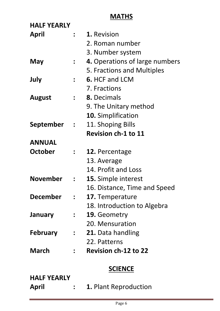## **MATHS**

| <b>HALF YEARLY</b> |                      |                                |
|--------------------|----------------------|--------------------------------|
| April              | $\ddot{\cdot}$       | 1. Revision                    |
|                    |                      | 2. Roman number                |
|                    |                      | 3. Number system               |
| May                |                      | 4. Operations of large numbers |
|                    |                      | 5. Fractions and Multiples     |
| July               | $\ddot{\cdot}$       | <b>6. HCF and LCM</b>          |
|                    |                      | 7. Fractions                   |
| <b>August</b>      | $\ddot{\phantom{a}}$ | <b>8.</b> Decimals             |
|                    |                      | 9. The Unitary method          |
|                    |                      | <b>10.</b> Simplification      |
| September :        |                      | 11. Shoping Bills              |
|                    |                      | <b>Revision ch-1 to 11</b>     |
| <b>ANNUAL</b>      |                      |                                |
| October            | $\ddot{\cdot}$       | 12. Percentage                 |
|                    |                      | 13. Average                    |
|                    |                      | 14. Profit and Loss            |
| <b>November</b>    | $\mathbf{r}$         | 15. Simple interest            |
|                    |                      | 16. Distance, Time and Speed   |
| December           |                      | <b>17.</b> Temperature         |
|                    |                      | 18. Introduction to Algebra    |
| January            | $\ddot{\phantom{a}}$ | 19. Geometry                   |
|                    |                      | 20. Mensuration                |
| <b>February</b>    | $\ddot{\phantom{a}}$ | <b>21.</b> Data handling       |
|                    |                      | 22. Patterns                   |
| March              | $\ddot{\phantom{a}}$ | <b>Revision ch-12 to 22</b>    |
|                    |                      | <b>SCIENCE</b>                 |
| <b>HALF YEARLY</b> |                      |                                |
| April              |                      | <b>1. Plant Reproduction</b>   |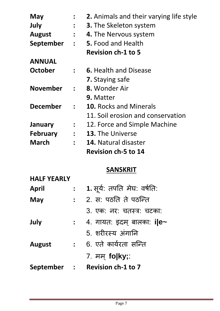| <b>May</b>      |                      | 2. Animals and their varying life style |
|-----------------|----------------------|-----------------------------------------|
| July            | $\ddot{\bullet}$     | <b>3.</b> The Skeleton system           |
| <b>August</b>   | $\ddot{\bullet}$     | 4. The Nervous system                   |
| September       | $\ddot{\cdot}$       | <b>5.</b> Food and Health               |
|                 |                      | <b>Revision ch-1 to 5</b>               |
| <b>ANNUAL</b>   |                      |                                         |
| <b>October</b>  | $\ddot{\cdot}$       | <b>6.</b> Health and Disease            |
|                 |                      | <b>7.</b> Staying safe                  |
| <b>November</b> | $\ddot{\cdot}$       | 8. Wonder Air                           |
|                 |                      | <b>9. Matter</b>                        |
| <b>December</b> | $\ddot{\cdot}$       | <b>10. Rocks and Minerals</b>           |
|                 |                      | 11. Soil erosion and conservation       |
| <b>January</b>  |                      | 12. Force and Simple Machine            |
| <b>February</b> | $\ddot{\phantom{a}}$ | <b>13.</b> The Universe                 |
| <b>March</b>    | $\ddot{\cdot}$       | 14. Natural disaster                    |
|                 |                      | <b>Revision ch-5 to 14</b>              |

## **SANSKRIT**

|                  | 1. सूर्य: तपति मेघ: वर्षति:      |
|------------------|----------------------------------|
| $\ddot{\cdot}$   | 2. स: पठति ते पठन्ति             |
|                  | 3. एक: नर: चंतस्त्र: चंटका:      |
| $\ddot{\bullet}$ | 4. गायत: इदम् बालका: <b>i e~</b> |
|                  | 5. शरीरस्य अंगानि                |
|                  | 6. एते कार्यरता सन्ति            |
|                  | 7. मम् <b>fo ky;</b> :           |
| $\frac{1}{2}$    | <b>Revision ch-1 to 7</b>        |
|                  |                                  |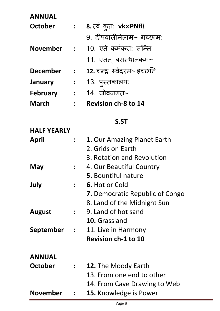#### **ANNUAL**

| <b>October</b>  |                  | 8. त्वं कुत: vkxPNfl\      |
|-----------------|------------------|----------------------------|
|                 |                  | 9. दीपवालीमेलाम~ गच्छाम:   |
| November        | $\frac{1}{2}$    | 10. एते कर्मकरा: सन्ति     |
|                 |                  | 11. एतत् बसस्थानकम~        |
| <b>December</b> |                  | 12. चन्द्र स्वेदरम~ इच्छति |
| January         | $\ddot{\bullet}$ | 13. पुस्तकालय:             |
| <b>February</b> |                  | $14.$ जीवजगत~              |
| <b>March</b>    |                  | <b>Revision ch-8 to 14</b> |

### **S.ST**

| <b>HALF YEARLY</b> |                  |                                    |
|--------------------|------------------|------------------------------------|
| <b>April</b>       | $\ddot{\cdot}$   | <b>1.</b> Our Amazing Planet Earth |
|                    |                  | 2. Grids on Earth                  |
|                    |                  | 3. Rotation and Revolution         |
| May                | $\ddot{\bullet}$ | 4. Our Beautiful Country           |
|                    |                  | <b>5.</b> Bountiful nature         |
| July               | $\ddot{\bullet}$ | 6. Hot or Cold                     |
|                    |                  | 7. Democratic Republic of Congo    |
|                    |                  | 8. Land of the Midnight Sun        |
| <b>August</b>      | $\ddot{\bullet}$ | 9. Land of hot sand                |
|                    |                  | <b>10.</b> Grassland               |
| September          | $\mathcal{L}$    | 11. Live in Harmony                |
|                    |                  | <b>Revision ch-1 to 10</b>         |
| <b>ANNUAL</b>      |                  |                                    |
| October            | $\frac{1}{2}$ .  | <b>12.</b> The Moody Earth         |
|                    |                  | 13. From one end to other          |
|                    |                  | 14. From Cave Drawing to Web       |
| <b>November</b>    |                  | <b>15.</b> Knowledge is Power      |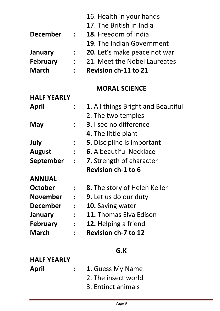|                    |                      | 16. Health in your hands            |
|--------------------|----------------------|-------------------------------------|
|                    |                      | 17. The British in India            |
| <b>December</b>    | $\ddot{\cdot}$       | <b>18.</b> Freedom of India         |
|                    |                      | 19. The Indian Government           |
| <b>January</b>     |                      | <b>20.</b> Let's make peace not war |
| <b>February</b>    |                      | 21. Meet the Nobel Laureates        |
| <b>March</b>       |                      | <b>Revision ch-11 to 21</b>         |
|                    |                      | <b>MORAL SCIENCE</b>                |
| <b>HALF YEARLY</b> |                      |                                     |
|                    |                      |                                     |
| April              |                      | 1. All things Bright and Beautiful  |
|                    |                      | 2. The two temples                  |
| May                | $\ddot{\phantom{a}}$ | <b>3.</b> I see no difference       |
|                    |                      | 4. The little plant                 |
| July               | $\ddot{\phantom{a}}$ | <b>5.</b> Discipline is important   |
| <b>August</b>      | $\mathbf{L}$         | <b>6.</b> A beautiful Necklace      |
| September          | $\mathbb{R}^n$       | 7. Strength of character            |
|                    |                      | <b>Revision ch-1 to 6</b>           |
| <b>ANNUAL</b>      |                      |                                     |
| <b>October</b>     |                      | <b>8.</b> The story of Helen Keller |
| November           |                      | <b>9.</b> Let us do our duty        |
| <b>December</b>    |                      | <b>10.</b> Saving water             |
| <b>January</b>     |                      | <b>11.</b> Thomas Elva Edison       |
|                    |                      |                                     |

- **February : 12.** Helping a friend
- **March : Revision ch-7 to 12**

# **G.K**

| <b>HALF YEARLY</b> |                         |
|--------------------|-------------------------|
| April              | <b>1. Guess My Name</b> |
|                    | 2. The insect world     |
|                    | 3. Entinct animals      |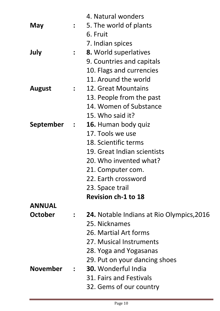| <b>May</b>      | $\frac{1}{2}$        | 4. Natural wonders<br>5. The world of plants<br>6. Fruit                                                                                                                                                              |
|-----------------|----------------------|-----------------------------------------------------------------------------------------------------------------------------------------------------------------------------------------------------------------------|
| July            | $\mathbf{L}$         | 7. Indian spices<br><b>8.</b> World superlatives<br>9. Countries and capitals<br>10. Flags and currencies                                                                                                             |
| <b>August</b>   |                      | 11. Around the world<br>12. Great Mountains<br>13. People from the past<br>14. Women of Substance<br>15. Who said it?                                                                                                 |
| September :     |                      | 16. Human body quiz<br>17. Tools we use<br>18. Scientific terms<br>19. Great Indian scientists<br>20. Who invented what?<br>21. Computer com.<br>22. Earth crossword<br>23. Space trail<br><b>Revision ch-1 to 18</b> |
| <b>ANNUAL</b>   |                      |                                                                                                                                                                                                                       |
| <b>October</b>  | $\mathbf{L}$         | <b>24.</b> Notable Indians at Rio Olympics, 2016<br>25. Nicknames<br>26. Martial Art forms<br>27. Musical Instruments<br>28. Yoga and Yogasanas<br>29. Put on your dancing shoes                                      |
| <b>November</b> | $\ddot{\phantom{a}}$ | <b>30.</b> Wonderful India<br>31. Fairs and Festivals<br>32. Gems of our country                                                                                                                                      |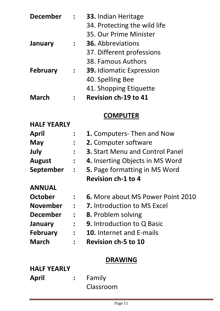| <b>December</b>    | $\ddot{\cdot}$                             | <b>33. Indian Heritage</b>               |
|--------------------|--------------------------------------------|------------------------------------------|
|                    |                                            | 34. Protecting the wild life             |
|                    |                                            | 35. Our Prime Minister                   |
| January            |                                            | <b>36.</b> Abbreviations                 |
|                    |                                            | 37. Different professions                |
|                    |                                            | 38. Famous Authors                       |
| <b>February</b>    | $\ddot{\phantom{a}}$                       | <b>39. Idiomatic Expression</b>          |
|                    |                                            | 40. Spelling Bee                         |
|                    |                                            | 41. Shopping Etiquette                   |
| <b>March</b>       |                                            | <b>Revision ch-19 to 41</b>              |
|                    |                                            | <b>COMPUTER</b>                          |
| <b>HALF YEARLY</b> |                                            |                                          |
| April              |                                            | <b>1.</b> Computers-Then and Now         |
| May                | $\ddot{\phantom{a}}$                       | <b>2.</b> Computer software              |
| July               | $\ddot{\phantom{a}}$                       | <b>3. Start Menu and Control Panel</b>   |
| <b>August</b>      | $\ddot{\cdot}$                             | <b>4. Inserting Objects in MS Word</b>   |
| September          | $\sim 10$                                  | <b>5.</b> Page formatting in MS Word     |
|                    |                                            | <b>Revision ch-1 to 4</b>                |
| <b>ANNUAL</b>      |                                            |                                          |
| October            |                                            | <b>6.</b> More about MS Power Point 2010 |
| <b>November</b>    |                                            | <b>7.</b> Introduction to MS Excel       |
| <b>December</b>    | $\mathcal{L} = \mathcal{L}$                | <b>8.</b> Problem solving                |
| <b>January</b>     |                                            | <b>9. Introduction to Q Basic</b>        |
| <b>February</b>    | $\mathbf{r} = \mathbf{r} \cdot \mathbf{r}$ | <b>10.</b> Internet and E-mails          |
| <b>March</b>       |                                            | <b>Revision ch-5 to 10</b>               |
|                    |                                            |                                          |

## **DRAWING**

| <b>HALF YEARLY</b> |            |
|--------------------|------------|
| April              | $:$ Family |
|                    | Classroom  |